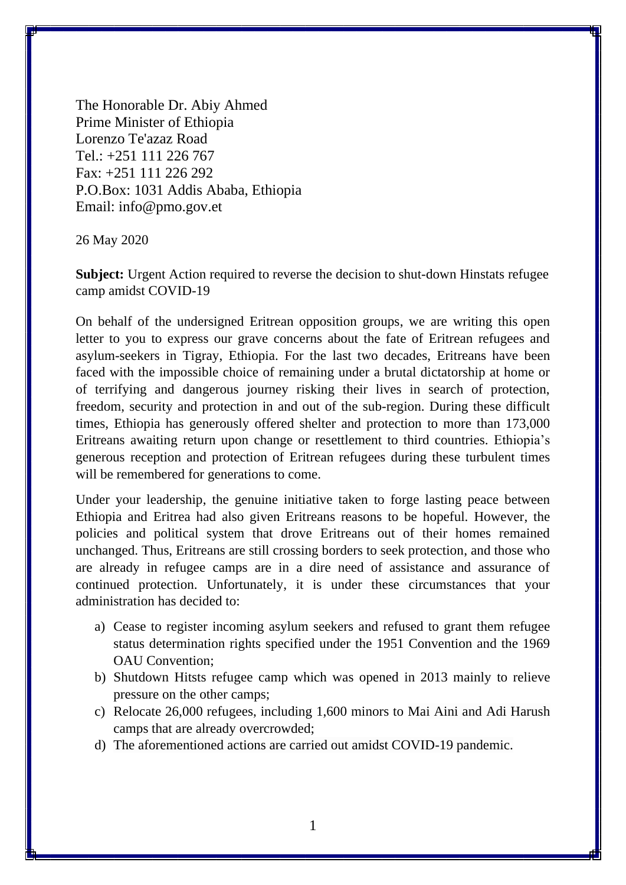The Honorable Dr. Abiy Ahmed Prime Minister of Ethiopia Lorenzo Te'azaz Road Tel.: +251 111 226 767 Fax: +251 111 226 292 P.O.Box: 1031 Addis Ababa, Ethiopia Email: info@pmo.gov.et

26 May 2020

**Subject:** Urgent Action required to reverse the decision to shut-down Hinstats refugee camp amidst COVID-19

On behalf of the undersigned Eritrean opposition groups, we are writing this open letter to you to express our grave concerns about the fate of Eritrean refugees and asylum-seekers in Tigray, Ethiopia. For the last two decades, Eritreans have been faced with the impossible choice of remaining under a brutal dictatorship at home or of terrifying and dangerous journey risking their lives in search of protection, freedom, security and protection in and out of the sub-region. During these difficult times, Ethiopia has generously offered shelter and protection to more than 173,000 Eritreans awaiting return upon change or resettlement to third countries. Ethiopia's generous reception and protection of Eritrean refugees during these turbulent times will be remembered for generations to come.

Under your leadership, the genuine initiative taken to forge lasting peace between Ethiopia and Eritrea had also given Eritreans reasons to be hopeful. However, the policies and political system that drove Eritreans out of their homes remained unchanged. Thus, Eritreans are still crossing borders to seek protection, and those who are already in refugee camps are in a dire need of assistance and assurance of continued protection. Unfortunately, it is under these circumstances that your administration has decided to:

- a) Cease to register incoming asylum seekers and refused to grant them refugee status determination rights specified under the 1951 Convention and the 1969 OAU Convention;
- b) Shutdown Hitsts refugee camp which was opened in 2013 mainly to relieve pressure on the other camps;
- c) Relocate 26,000 refugees, including 1,600 minors to Mai Aini and Adi Harush camps that are already overcrowded;
- d) The aforementioned actions are carried out amidst COVID-19 pandemic.